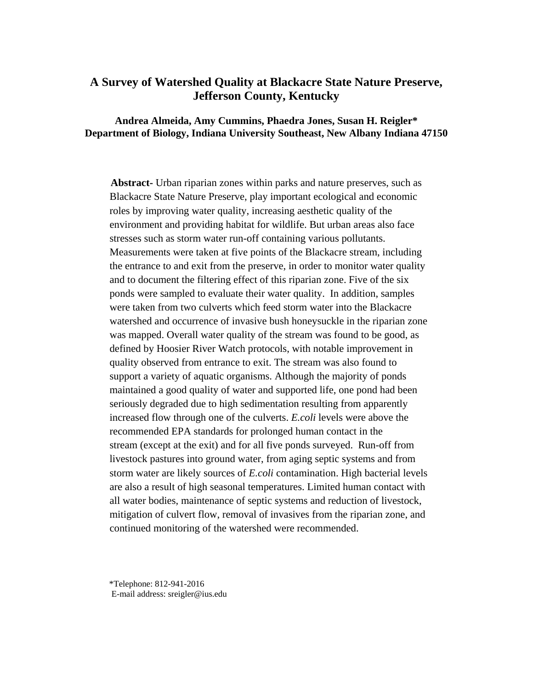# **A Survey of Watershed Quality at Blackacre State Nature Preserve, Jefferson County, Kentucky**

**Andrea Almeida, Amy Cummins, Phaedra Jones, Susan H. Reigler\* Department of Biology, Indiana University Southeast, New Albany Indiana 47150** 

**Abstract-** Urban riparian zones within parks and nature preserves, such as Blackacre State Nature Preserve, play important ecological and economic roles by improving water quality, increasing aesthetic quality of the environment and providing habitat for wildlife. But urban areas also face stresses such as storm water run-off containing various pollutants. Measurements were taken at five points of the Blackacre stream, including the entrance to and exit from the preserve, in order to monitor water quality and to document the filtering effect of this riparian zone. Five of the six ponds were sampled to evaluate their water quality. In addition, samples were taken from two culverts which feed storm water into the Blackacre watershed and occurrence of invasive bush honeysuckle in the riparian zone was mapped. Overall water quality of the stream was found to be good, as defined by Hoosier River Watch protocols, with notable improvement in quality observed from entrance to exit. The stream was also found to support a variety of aquatic organisms. Although the majority of ponds maintained a good quality of water and supported life, one pond had been seriously degraded due to high sedimentation resulting from apparently increased flow through one of the culverts. *E.coli* levels were above the recommended EPA standards for prolonged human contact in the stream (except at the exit) and for all five ponds surveyed. Run-off from livestock pastures into ground water, from aging septic systems and from storm water are likely sources of *E.coli* contamination. High bacterial levels are also a result of high seasonal temperatures. Limited human contact with all water bodies, maintenance of septic systems and reduction of livestock, mitigation of culvert flow, removal of invasives from the riparian zone, and continued monitoring of the watershed were recommended.

\*Telephone: 812-941-2016

E-mail address: sreigler@ius.edu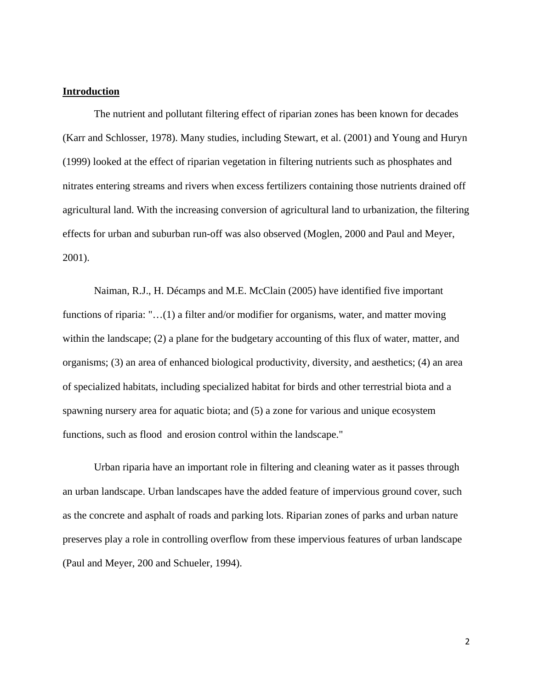### **Introduction**

 The nutrient and pollutant filtering effect of riparian zones has been known for decades (Karr and Schlosser, 1978). Many studies, including Stewart, et al. (2001) and Young and Huryn (1999) looked at the effect of riparian vegetation in filtering nutrients such as phosphates and nitrates entering streams and rivers when excess fertilizers containing those nutrients drained off agricultural land. With the increasing conversion of agricultural land to urbanization, the filtering effects for urban and suburban run-off was also observed (Moglen, 2000 and Paul and Meyer, 2001).

 Naiman, R.J., H. Décamps and M.E. McClain (2005) have identified five important functions of riparia: "...(1) a filter and/or modifier for organisms, water, and matter moving within the landscape; (2) a plane for the budgetary accounting of this flux of water, matter, and organisms; (3) an area of enhanced biological productivity, diversity, and aesthetics; (4) an area of specialized habitats, including specialized habitat for birds and other terrestrial biota and a spawning nursery area for aquatic biota; and (5) a zone for various and unique ecosystem functions, such as flood and erosion control within the landscape."

Urban riparia have an important role in filtering and cleaning water as it passes through an urban landscape. Urban landscapes have the added feature of impervious ground cover, such as the concrete and asphalt of roads and parking lots. Riparian zones of parks and urban nature preserves play a role in controlling overflow from these impervious features of urban landscape (Paul and Meyer, 200 and Schueler, 1994).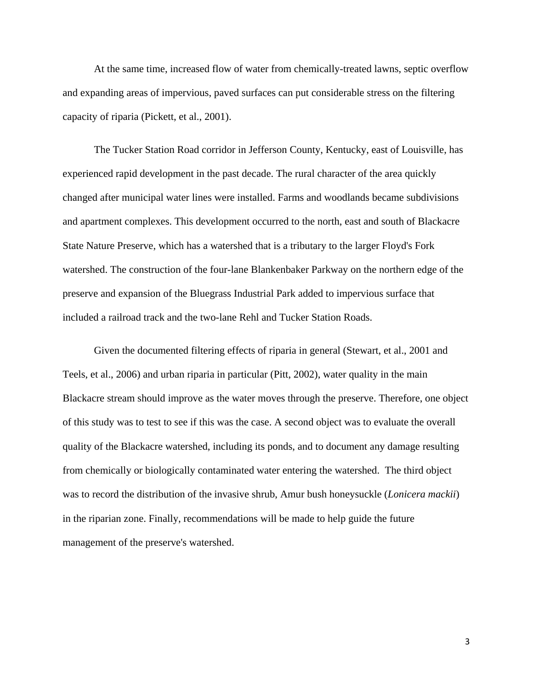At the same time, increased flow of water from chemically-treated lawns, septic overflow and expanding areas of impervious, paved surfaces can put considerable stress on the filtering capacity of riparia (Pickett, et al., 2001).

The Tucker Station Road corridor in Jefferson County, Kentucky, east of Louisville, has experienced rapid development in the past decade. The rural character of the area quickly changed after municipal water lines were installed. Farms and woodlands became subdivisions and apartment complexes. This development occurred to the north, east and south of Blackacre State Nature Preserve, which has a watershed that is a tributary to the larger Floyd's Fork watershed. The construction of the four-lane Blankenbaker Parkway on the northern edge of the preserve and expansion of the Bluegrass Industrial Park added to impervious surface that included a railroad track and the two-lane Rehl and Tucker Station Roads.

Given the documented filtering effects of riparia in general (Stewart, et al., 2001 and Teels, et al., 2006) and urban riparia in particular (Pitt, 2002), water quality in the main Blackacre stream should improve as the water moves through the preserve. Therefore, one object of this study was to test to see if this was the case. A second object was to evaluate the overall quality of the Blackacre watershed, including its ponds, and to document any damage resulting from chemically or biologically contaminated water entering the watershed. The third object was to record the distribution of the invasive shrub, Amur bush honeysuckle (*Lonicera mackii*) in the riparian zone. Finally, recommendations will be made to help guide the future management of the preserve's watershed.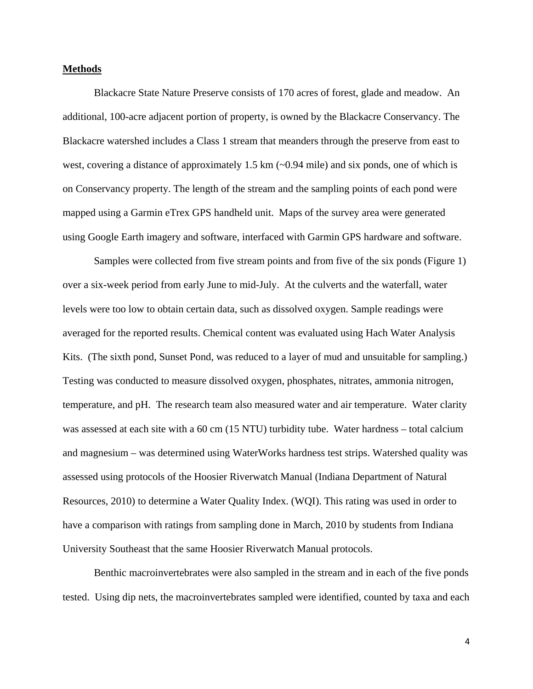#### **Methods**

Blackacre State Nature Preserve consists of 170 acres of forest, glade and meadow. An additional, 100-acre adjacent portion of property, is owned by the Blackacre Conservancy. The Blackacre watershed includes a Class 1 stream that meanders through the preserve from east to west, covering a distance of approximately 1.5 km  $\sim 0.94$  mile) and six ponds, one of which is on Conservancy property. The length of the stream and the sampling points of each pond were mapped using a Garmin eTrex GPS handheld unit. Maps of the survey area were generated using Google Earth imagery and software, interfaced with Garmin GPS hardware and software.

 Samples were collected from five stream points and from five of the six ponds (Figure 1) over a six-week period from early June to mid-July. At the culverts and the waterfall, water levels were too low to obtain certain data, such as dissolved oxygen. Sample readings were averaged for the reported results. Chemical content was evaluated using Hach Water Analysis Kits. (The sixth pond, Sunset Pond, was reduced to a layer of mud and unsuitable for sampling.) Testing was conducted to measure dissolved oxygen, phosphates, nitrates, ammonia nitrogen, temperature, and pH. The research team also measured water and air temperature. Water clarity was assessed at each site with a 60 cm (15 NTU) turbidity tube. Water hardness – total calcium and magnesium – was determined using WaterWorks hardness test strips. Watershed quality was assessed using protocols of the Hoosier Riverwatch Manual (Indiana Department of Natural Resources, 2010) to determine a Water Quality Index. (WQI). This rating was used in order to have a comparison with ratings from sampling done in March, 2010 by students from Indiana University Southeast that the same Hoosier Riverwatch Manual protocols.

 Benthic macroinvertebrates were also sampled in the stream and in each of the five ponds tested. Using dip nets, the macroinvertebrates sampled were identified, counted by taxa and each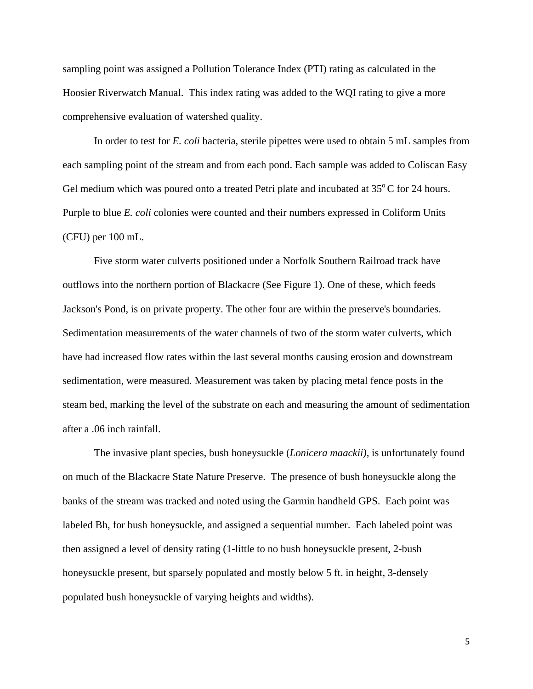sampling point was assigned a Pollution Tolerance Index (PTI) rating as calculated in the Hoosier Riverwatch Manual. This index rating was added to the WQI rating to give a more comprehensive evaluation of watershed quality.

In order to test for *E. coli* bacteria, sterile pipettes were used to obtain 5 mL samples from each sampling point of the stream and from each pond. Each sample was added to Coliscan Easy Gel medium which was poured onto a treated Petri plate and incubated at  $35^{\circ}$ C for 24 hours. Purple to blue *E. coli* colonies were counted and their numbers expressed in Coliform Units (CFU) per 100 mL.

Five storm water culverts positioned under a Norfolk Southern Railroad track have outflows into the northern portion of Blackacre (See Figure 1). One of these, which feeds Jackson's Pond, is on private property. The other four are within the preserve's boundaries. Sedimentation measurements of the water channels of two of the storm water culverts, which have had increased flow rates within the last several months causing erosion and downstream sedimentation, were measured. Measurement was taken by placing metal fence posts in the steam bed, marking the level of the substrate on each and measuring the amount of sedimentation after a .06 inch rainfall.

 The invasive plant species, bush honeysuckle (*Lonicera maackii),* is unfortunately found on much of the Blackacre State Nature Preserve. The presence of bush honeysuckle along the banks of the stream was tracked and noted using the Garmin handheld GPS. Each point was labeled Bh, for bush honeysuckle, and assigned a sequential number. Each labeled point was then assigned a level of density rating (1-little to no bush honeysuckle present, 2-bush honeysuckle present, but sparsely populated and mostly below 5 ft. in height, 3-densely populated bush honeysuckle of varying heights and widths).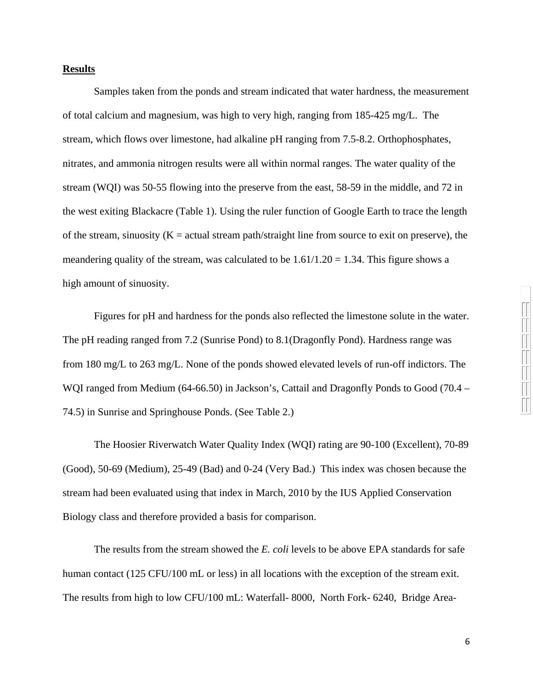### **Results**

Samples taken from the ponds and stream indicated that water hardness, the measurement of total calcium and magnesium, was high to very high, ranging from 185-425 mg/L. The stream, which flows over limestone, had alkaline pH ranging from 7.5-8.2. Orthophosphates, nitrates, and ammonia nitrogen results were all within normal ranges. The water quality of the stream (WQI) was 50-55 flowing into the preserve from the east, 58-59 in the middle, and 72 in the west exiting Blackacre (Table 1). Using the ruler function of Google Earth to trace the length of the stream, sinuosity  $(K = actual stream path/straight line from source to exit on preserve)$ , the meandering quality of the stream, was calculated to be  $1.61/1.20 = 1.34$ . This figure shows a high amount of sinuosity.

Figures for pH and hardness for the ponds also reflected the limestone solute in the water. The pH reading ranged from 7.2 (Sunrise Pond) to 8.1(Dragonfly Pond). Hardness range was from 180 mg/L to 263 mg/L. None of the ponds showed elevated levels of run-off indictors. The WOI ranged from Medium (64-66.50) in Jackson's, Cattail and Dragonfly Ponds to Good (70.4 – 74.5) in Sunrise and Springhouse Ponds. (See Table 2.)

The Hoosier Riverwatch Water Quality Index (WQI) rating are 90-100 (Excellent), 70-89 (Good), 50-69 (Medium), 25-49 (Bad) and 0-24 (Very Bad.) This index was chosen because the stream had been evaluated using that index in March, 2010 by the IUS Applied Conservation Biology class and therefore provided a basis for comparison.

The results from the stream showed the *E. coli* levels to be above EPA standards for safe human contact (125 CFU/100 mL or less) in all locations with the exception of the stream exit. The results from high to low CFU/100 mL: Waterfall- 8000, North Fork- 6240, Bridge Area-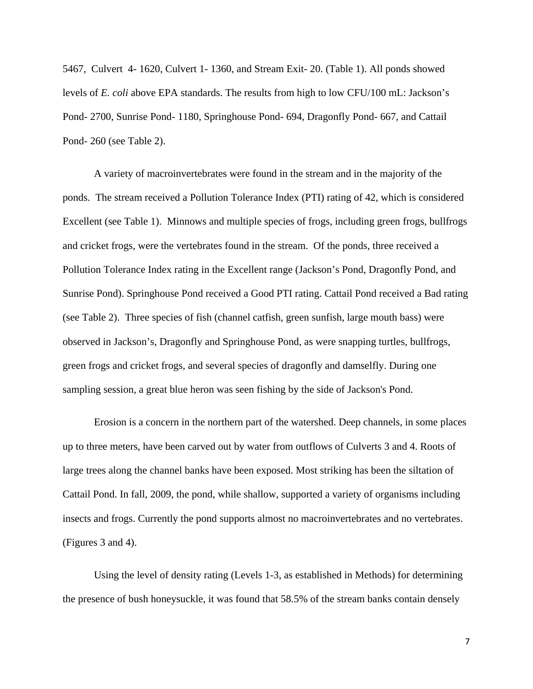5467, Culvert 4- 1620, Culvert 1- 1360, and Stream Exit- 20. (Table 1). All ponds showed levels of *E. coli* above EPA standards. The results from high to low CFU/100 mL: Jackson's Pond- 2700, Sunrise Pond- 1180, Springhouse Pond- 694, Dragonfly Pond- 667, and Cattail Pond- 260 (see Table 2).

A variety of macroinvertebrates were found in the stream and in the majority of the ponds. The stream received a Pollution Tolerance Index (PTI) rating of 42, which is considered Excellent (see Table 1). Minnows and multiple species of frogs, including green frogs, bullfrogs and cricket frogs, were the vertebrates found in the stream. Of the ponds, three received a Pollution Tolerance Index rating in the Excellent range (Jackson's Pond, Dragonfly Pond, and Sunrise Pond). Springhouse Pond received a Good PTI rating. Cattail Pond received a Bad rating (see Table 2). Three species of fish (channel catfish, green sunfish, large mouth bass) were observed in Jackson's, Dragonfly and Springhouse Pond, as were snapping turtles, bullfrogs, green frogs and cricket frogs, and several species of dragonfly and damselfly. During one sampling session, a great blue heron was seen fishing by the side of Jackson's Pond.

Erosion is a concern in the northern part of the watershed. Deep channels, in some places up to three meters, have been carved out by water from outflows of Culverts 3 and 4. Roots of large trees along the channel banks have been exposed. Most striking has been the siltation of Cattail Pond. In fall, 2009, the pond, while shallow, supported a variety of organisms including insects and frogs. Currently the pond supports almost no macroinvertebrates and no vertebrates. (Figures 3 and 4).

Using the level of density rating (Levels 1-3, as established in Methods) for determining the presence of bush honeysuckle, it was found that 58.5% of the stream banks contain densely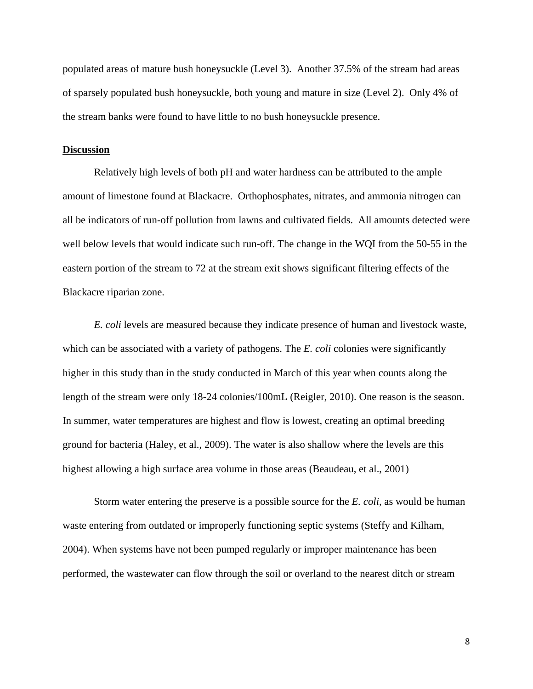populated areas of mature bush honeysuckle (Level 3). Another 37.5% of the stream had areas of sparsely populated bush honeysuckle, both young and mature in size (Level 2). Only 4% of the stream banks were found to have little to no bush honeysuckle presence.

#### **Discussion**

Relatively high levels of both pH and water hardness can be attributed to the ample amount of limestone found at Blackacre. Orthophosphates, nitrates, and ammonia nitrogen can all be indicators of run-off pollution from lawns and cultivated fields. All amounts detected were well below levels that would indicate such run-off. The change in the WQI from the 50-55 in the eastern portion of the stream to 72 at the stream exit shows significant filtering effects of the Blackacre riparian zone.

*E. coli* levels are measured because they indicate presence of human and livestock waste, which can be associated with a variety of pathogens. The *E. coli* colonies were significantly higher in this study than in the study conducted in March of this year when counts along the length of the stream were only 18-24 colonies/100mL (Reigler, 2010). One reason is the season. In summer, water temperatures are highest and flow is lowest, creating an optimal breeding ground for bacteria (Haley, et al., 2009). The water is also shallow where the levels are this highest allowing a high surface area volume in those areas (Beaudeau, et al., 2001)

Storm water entering the preserve is a possible source for the *E. coli,* as would be human waste entering from outdated or improperly functioning septic systems (Steffy and Kilham, 2004). When systems have not been pumped regularly or improper maintenance has been performed, the wastewater can flow through the soil or overland to the nearest ditch or stream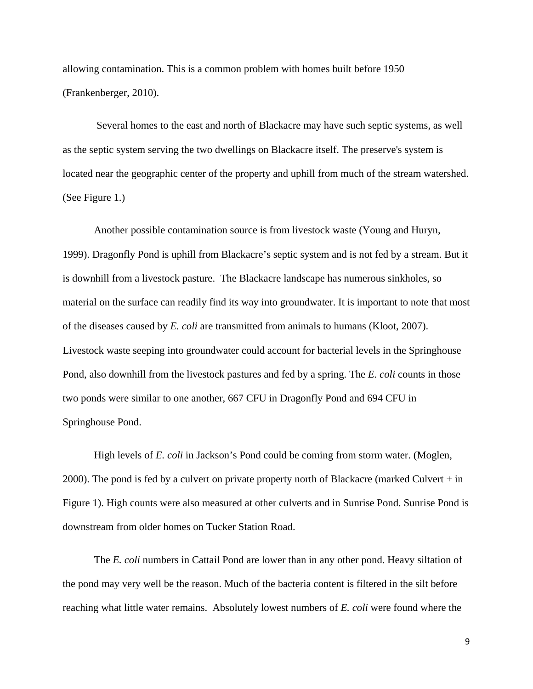allowing contamination. This is a common problem with homes built before 1950 (Frankenberger, 2010).

 Several homes to the east and north of Blackacre may have such septic systems, as well as the septic system serving the two dwellings on Blackacre itself. The preserve's system is located near the geographic center of the property and uphill from much of the stream watershed. (See Figure 1.)

Another possible contamination source is from livestock waste (Young and Huryn, 1999). Dragonfly Pond is uphill from Blackacre's septic system and is not fed by a stream. But it is downhill from a livestock pasture. The Blackacre landscape has numerous sinkholes, so material on the surface can readily find its way into groundwater. It is important to note that most of the diseases caused by *E. coli* are transmitted from animals to humans (Kloot, 2007). Livestock waste seeping into groundwater could account for bacterial levels in the Springhouse Pond, also downhill from the livestock pastures and fed by a spring. The *E. coli* counts in those two ponds were similar to one another, 667 CFU in Dragonfly Pond and 694 CFU in Springhouse Pond.

High levels of *E. coli* in Jackson's Pond could be coming from storm water. (Moglen, 2000). The pond is fed by a culvert on private property north of Blackacre (marked Culvert  $+$  in Figure 1). High counts were also measured at other culverts and in Sunrise Pond. Sunrise Pond is downstream from older homes on Tucker Station Road.

The *E. coli* numbers in Cattail Pond are lower than in any other pond. Heavy siltation of the pond may very well be the reason. Much of the bacteria content is filtered in the silt before reaching what little water remains. Absolutely lowest numbers of *E. coli* were found where the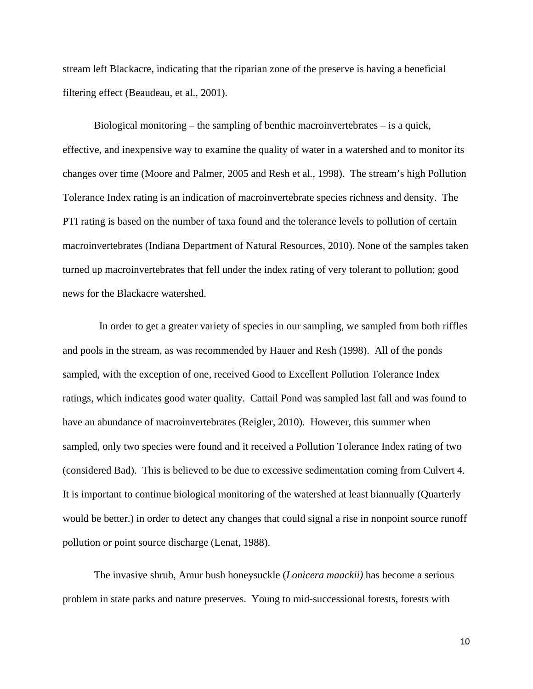stream left Blackacre, indicating that the riparian zone of the preserve is having a beneficial filtering effect (Beaudeau, et al., 2001).

Biological monitoring – the sampling of benthic macroinvertebrates – is a quick, effective, and inexpensive way to examine the quality of water in a watershed and to monitor its changes over time (Moore and Palmer, 2005 and Resh et al*.*, 1998). The stream's high Pollution Tolerance Index rating is an indication of macroinvertebrate species richness and density. The PTI rating is based on the number of taxa found and the tolerance levels to pollution of certain macroinvertebrates (Indiana Department of Natural Resources, 2010). None of the samples taken turned up macroinvertebrates that fell under the index rating of very tolerant to pollution; good news for the Blackacre watershed.

 In order to get a greater variety of species in our sampling, we sampled from both riffles and pools in the stream, as was recommended by Hauer and Resh (1998). All of the ponds sampled, with the exception of one, received Good to Excellent Pollution Tolerance Index ratings, which indicates good water quality. Cattail Pond was sampled last fall and was found to have an abundance of macroinvertebrates (Reigler, 2010). However, this summer when sampled, only two species were found and it received a Pollution Tolerance Index rating of two (considered Bad). This is believed to be due to excessive sedimentation coming from Culvert 4. It is important to continue biological monitoring of the watershed at least biannually (Quarterly would be better.) in order to detect any changes that could signal a rise in nonpoint source runoff pollution or point source discharge (Lenat, 1988).

The invasive shrub, Amur bush honeysuckle (*Lonicera maackii)* has become a serious problem in state parks and nature preserves. Young to mid-successional forests, forests with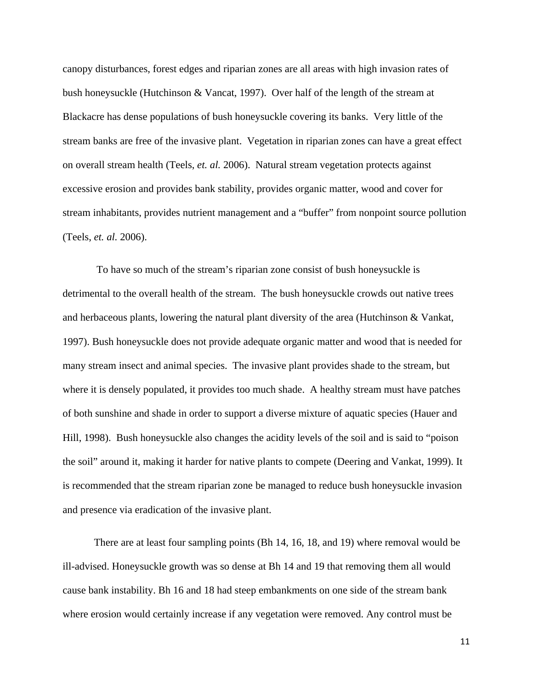canopy disturbances, forest edges and riparian zones are all areas with high invasion rates of bush honeysuckle (Hutchinson & Vancat, 1997). Over half of the length of the stream at Blackacre has dense populations of bush honeysuckle covering its banks. Very little of the stream banks are free of the invasive plant. Vegetation in riparian zones can have a great effect on overall stream health (Teels, *et. al.* 2006). Natural stream vegetation protects against excessive erosion and provides bank stability, provides organic matter, wood and cover for stream inhabitants, provides nutrient management and a "buffer" from nonpoint source pollution (Teels, *et. al.* 2006).

 To have so much of the stream's riparian zone consist of bush honeysuckle is detrimental to the overall health of the stream. The bush honeysuckle crowds out native trees and herbaceous plants, lowering the natural plant diversity of the area (Hutchinson & Vankat, 1997). Bush honeysuckle does not provide adequate organic matter and wood that is needed for many stream insect and animal species. The invasive plant provides shade to the stream, but where it is densely populated, it provides too much shade. A healthy stream must have patches of both sunshine and shade in order to support a diverse mixture of aquatic species (Hauer and Hill, 1998). Bush honeysuckle also changes the acidity levels of the soil and is said to "poison the soil" around it, making it harder for native plants to compete (Deering and Vankat, 1999). It is recommended that the stream riparian zone be managed to reduce bush honeysuckle invasion and presence via eradication of the invasive plant.

There are at least four sampling points (Bh 14, 16, 18, and 19) where removal would be ill-advised. Honeysuckle growth was so dense at Bh 14 and 19 that removing them all would cause bank instability. Bh 16 and 18 had steep embankments on one side of the stream bank where erosion would certainly increase if any vegetation were removed. Any control must be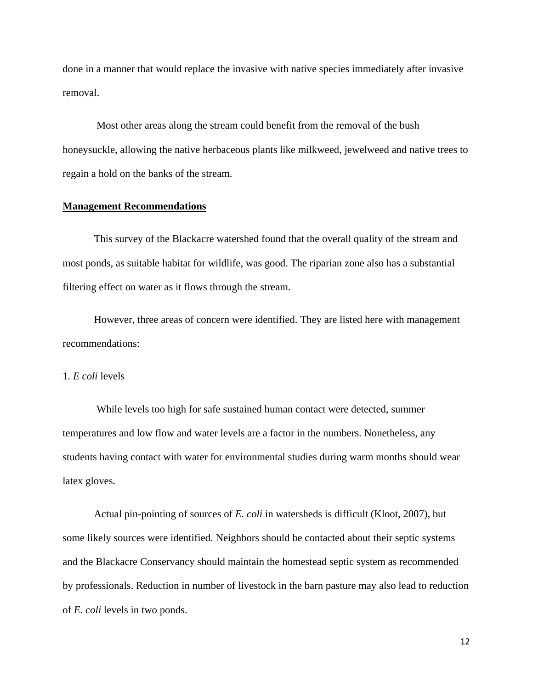done in a manner that would replace the invasive with native species immediately after invasive removal.

 Most other areas along the stream could benefit from the removal of the bush honeysuckle, allowing the native herbaceous plants like milkweed, jewelweed and native trees to regain a hold on the banks of the stream.

#### **Management Recommendations**

 This survey of the Blackacre watershed found that the overall quality of the stream and most ponds, as suitable habitat for wildlife, was good. The riparian zone also has a substantial filtering effect on water as it flows through the stream.

 However, three areas of concern were identified. They are listed here with management recommendations:

1. *E coli* levels

 While levels too high for safe sustained human contact were detected, summer temperatures and low flow and water levels are a factor in the numbers. Nonetheless, any students having contact with water for environmental studies during warm months should wear latex gloves.

 Actual pin-pointing of sources of *E. coli* in watersheds is difficult (Kloot, 2007), but some likely sources were identified. Neighbors should be contacted about their septic systems and the Blackacre Conservancy should maintain the homestead septic system as recommended by professionals. Reduction in number of livestock in the barn pasture may also lead to reduction of *E. coli* levels in two ponds.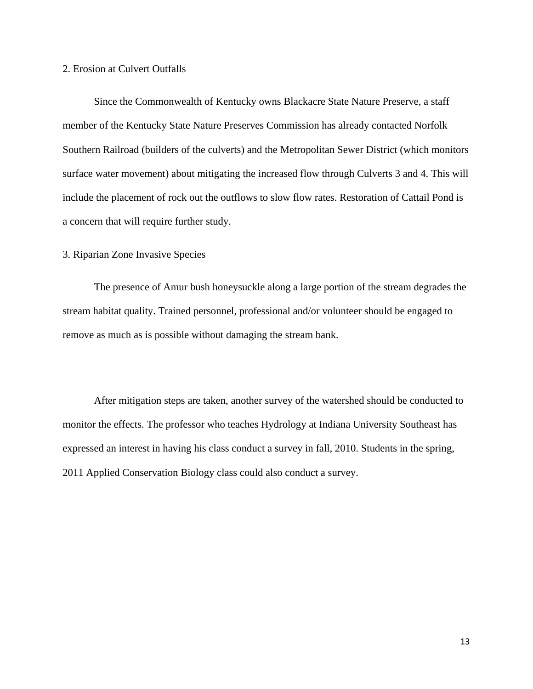## 2. Erosion at Culvert Outfalls

 Since the Commonwealth of Kentucky owns Blackacre State Nature Preserve, a staff member of the Kentucky State Nature Preserves Commission has already contacted Norfolk Southern Railroad (builders of the culverts) and the Metropolitan Sewer District (which monitors surface water movement) about mitigating the increased flow through Culverts 3 and 4. This will include the placement of rock out the outflows to slow flow rates. Restoration of Cattail Pond is a concern that will require further study.

## 3. Riparian Zone Invasive Species

 The presence of Amur bush honeysuckle along a large portion of the stream degrades the stream habitat quality. Trained personnel, professional and/or volunteer should be engaged to remove as much as is possible without damaging the stream bank.

 After mitigation steps are taken, another survey of the watershed should be conducted to monitor the effects. The professor who teaches Hydrology at Indiana University Southeast has expressed an interest in having his class conduct a survey in fall, 2010. Students in the spring, 2011 Applied Conservation Biology class could also conduct a survey.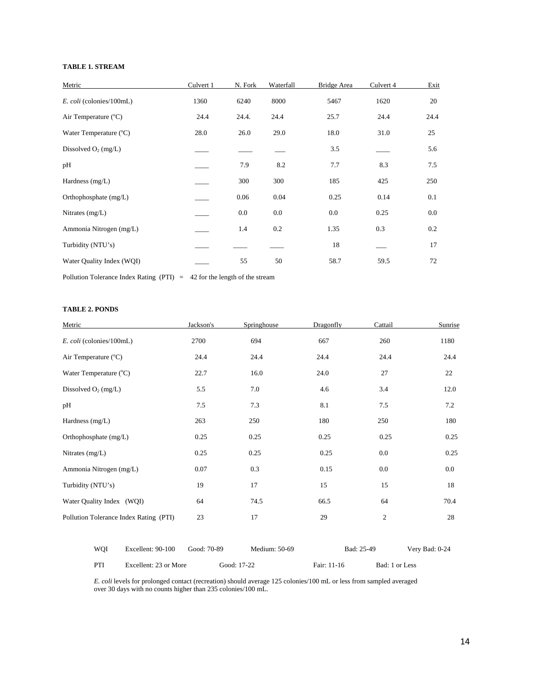#### **TABLE 1. STREAM**

| Metric                    | Culvert 1 | N. Fork | Waterfall | Bridge Area | Culvert 4 | Exit |
|---------------------------|-----------|---------|-----------|-------------|-----------|------|
| E. coli (colonies/100mL)  | 1360      | 6240    | 8000      | 5467        | 1620      | 20   |
| Air Temperature (°C)      | 24.4      | 24.4.   | 24.4      | 25.7        | 24.4      | 24.4 |
| Water Temperature (°C)    | 28.0      | 26.0    | 29.0      | 18.0        | 31.0      | 25   |
| Dissolved $O_2$ (mg/L)    |           |         |           | 3.5         |           | 5.6  |
| pH                        |           | 7.9     | 8.2       | 7.7         | 8.3       | 7.5  |
| Hardness $(mg/L)$         |           | 300     | 300       | 185         | 425       | 250  |
| Orthophosphate (mg/L)     |           | 0.06    | 0.04      | 0.25        | 0.14      | 0.1  |
| Nitrates $(mg/L)$         |           | 0.0     | 0.0       | 0.0         | 0.25      | 0.0  |
| Ammonia Nitrogen (mg/L)   |           | 1.4     | 0.2       | 1.35        | 0.3       | 0.2  |
| Turbidity (NTU's)         |           |         |           | 18          |           | 17   |
| Water Quality Index (WQI) |           | 55      | 50        | 58.7        | 59.5      | 72   |

Pollution Tolerance Index Rating (PTI) = 42 for the length of the stream

#### **TABLE 2. PONDS**

| Metric                                 | Jackson's | Springhouse | Dragonfly | Cattail          | Sunrise |
|----------------------------------------|-----------|-------------|-----------|------------------|---------|
| E. coli (colonies/100mL)               | 2700      | 694         | 667       | 260              | 1180    |
| Air Temperature (°C)                   | 24.4      | 24.4        | 24.4      | 24.4             | 24.4    |
| Water Temperature (°C)                 | 22.7      | 16.0        | 24.0      | 27               | 22      |
| Dissolved $O_2$ (mg/L)                 | 5.5       | 7.0         | 4.6       | 3.4              | 12.0    |
| pH                                     | 7.5       | 7.3         | 8.1       | 7.5              | 7.2     |
| Hardness (mg/L)                        | 263       | 250         | 180       | 250              | 180     |
| Orthophosphate (mg/L)                  | 0.25      | 0.25        | 0.25      | 0.25             | 0.25    |
| Nitrates (mg/L)                        | 0.25      | 0.25        | 0.25      | 0.0              | 0.25    |
| Ammonia Nitrogen (mg/L)                | 0.07      | 0.3         | 0.15      | 0.0              | 0.0     |
| Turbidity (NTU's)                      | 19        | 17          | 15        | 15               | 18      |
| Water Quality Index (WQI)              | 64        | 74.5        | 66.5      | 64               | 70.4    |
| Pollution Tolerance Index Rating (PTI) | 23        | 17          | 29        | $\boldsymbol{2}$ | 28      |
|                                        |           |             |           |                  |         |

| WOI | Excellent: 90-100     | Good: 70-89 |             | Medium: 50-69 |             | Bad: 25-49 |                | Very Bad: 0-24 |
|-----|-----------------------|-------------|-------------|---------------|-------------|------------|----------------|----------------|
| PTI | Excellent: 23 or More |             | Good: 17-22 |               | Fair: 11-16 |            | Bad: 1 or Less |                |

*E. coli* levels for prolonged contact (recreation) should average 125 colonies/100 mL or less from sampled averaged over 30 days with no counts higher than 235 colonies/100 mL.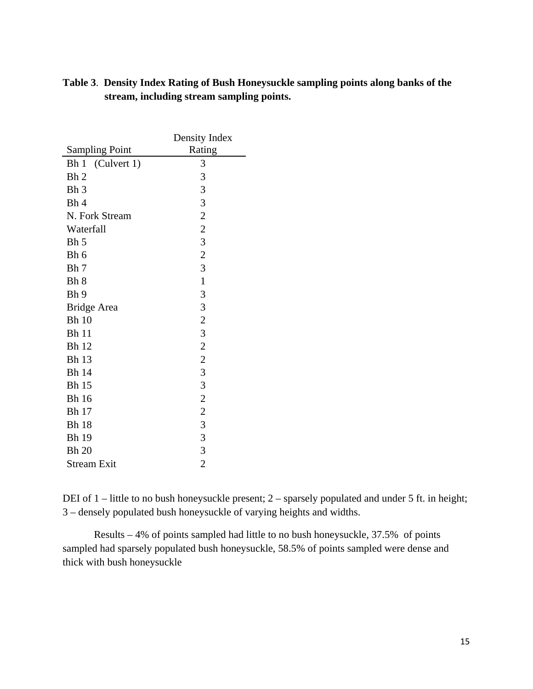| <b>Sampling Point</b> | Density Index<br>Rating |
|-----------------------|-------------------------|
| Bh 1 (Culvert 1)      | 3                       |
| Bh <sub>2</sub>       | 3                       |
| Bh <sub>3</sub>       | 3                       |
| Bh 4                  | 3                       |
| N. Fork Stream        | $\overline{c}$          |
| Waterfall             | $\overline{c}$          |
| Bh 5                  | 3                       |
| Bh 6                  | $\overline{2}$          |
| Bh 7                  | 3                       |
| Bh 8                  | $\mathbf{1}$            |
| Bh 9                  | 3                       |
| <b>Bridge Area</b>    | 3                       |
| <b>Bh</b> 10          | $\overline{2}$          |
| <b>Bh</b> 11          | 3                       |
| <b>Bh</b> 12          | $\overline{c}$          |
| <b>Bh</b> 13          | $\overline{c}$          |
| <b>Bh</b> 14          | 3                       |
| <b>Bh</b> 15          | 3                       |
| <b>Bh</b> 16          | $\overline{c}$          |
| <b>Bh</b> 17          | $\overline{2}$          |
| <b>Bh</b> 18          | 3                       |
| <b>Bh</b> 19          | 3                       |
| <b>Bh 20</b>          | 3                       |
| <b>Stream Exit</b>    | $\overline{2}$          |

# **Table 3**. **Density Index Rating of Bush Honeysuckle sampling points along banks of the stream, including stream sampling points.**

DEI of 1 – little to no bush honeysuckle present; 2 – sparsely populated and under 5 ft. in height; 3 – densely populated bush honeysuckle of varying heights and widths.

 Results – 4% of points sampled had little to no bush honeysuckle, 37.5% of points sampled had sparsely populated bush honeysuckle, 58.5% of points sampled were dense and thick with bush honeysuckle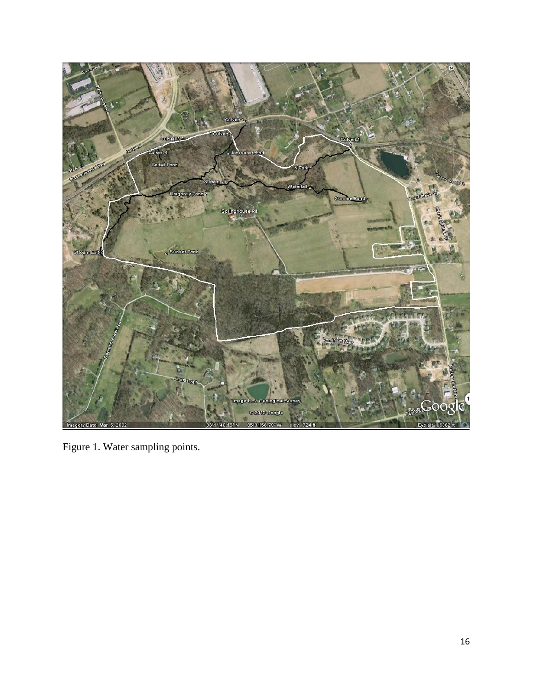

Figure 1. Water sampling points.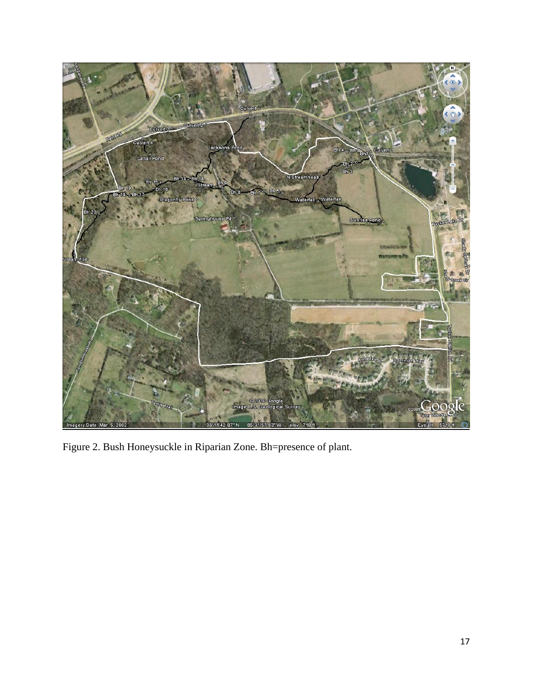

Figure 2. Bush Honeysuckle in Riparian Zone. Bh=presence of plant.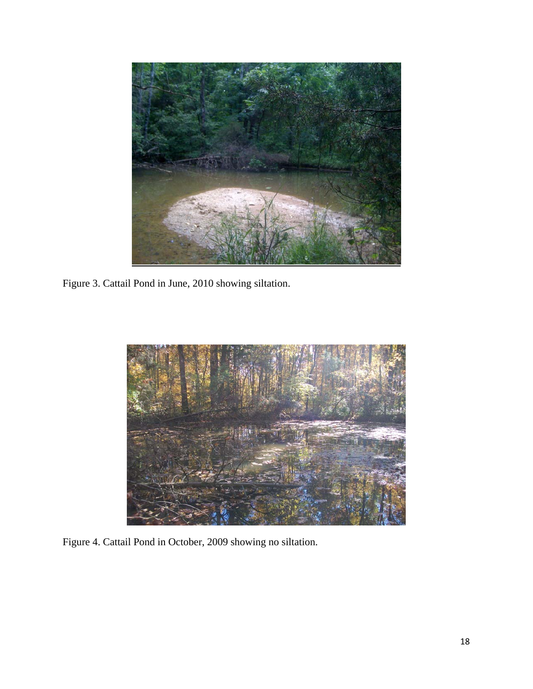

Figure 3. Cattail Pond in June, 2010 showing siltation.



Figure 4. Cattail Pond in October, 2009 showing no siltation.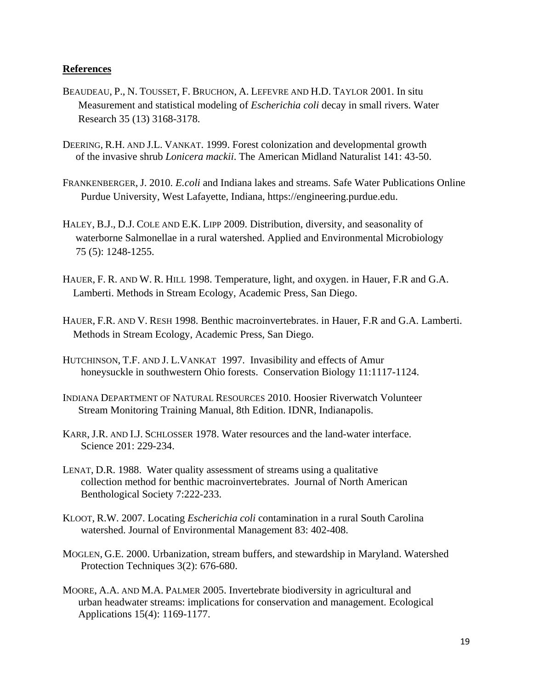## **References**

- BEAUDEAU, P., N. TOUSSET, F. BRUCHON, A. LEFEVRE AND H.D. TAYLOR 2001. In situ Measurement and statistical modeling of *Escherichia coli* decay in small rivers. Water Research 35 (13) 3168-3178.
- DEERING, R.H. AND J.L. VANKAT. 1999. Forest colonization and developmental growth of the invasive shrub *Lonicera mackii*. The American Midland Naturalist 141: 43-50.
- FRANKENBERGER, J. 2010. *E.coli* and Indiana lakes and streams. Safe Water Publications Online Purdue University, West Lafayette, Indiana, https://engineering.purdue.edu.
- HALEY, B.J., D.J. COLE AND E.K. LIPP 2009. Distribution, diversity, and seasonality of waterborne Salmonellae in a rural watershed. Applied and Environmental Microbiology 75 (5): 1248-1255.
- HAUER, F. R. AND W. R. HILL 1998. Temperature, light, and oxygen. in Hauer, F.R and G.A. Lamberti. Methods in Stream Ecology, Academic Press, San Diego.
- HAUER, F.R. AND V. RESH 1998. Benthic macroinvertebrates. in Hauer, F.R and G.A. Lamberti. Methods in Stream Ecology, Academic Press, San Diego.
- HUTCHINSON, T.F. AND J. L.VANKAT 1997. Invasibility and effects of Amur honeysuckle in southwestern Ohio forests. Conservation Biology 11:1117-1124.
- INDIANA DEPARTMENT OF NATURAL RESOURCES 2010. Hoosier Riverwatch Volunteer Stream Monitoring Training Manual, 8th Edition. IDNR, Indianapolis.
- KARR, J.R. AND I.J. SCHLOSSER 1978. Water resources and the land-water interface. Science 201: 229-234.
- LENAT, D.R. 1988. Water quality assessment of streams using a qualitative collection method for benthic macroinvertebrates. Journal of North American Benthological Society 7:222-233.
- KLOOT, R.W. 2007. Locating *Escherichia coli* contamination in a rural South Carolina watershed. Journal of Environmental Management 83: 402-408.
- MOGLEN, G.E. 2000. Urbanization, stream buffers, and stewardship in Maryland. Watershed Protection Techniques 3(2): 676-680.
- MOORE, A.A. AND M.A. PALMER 2005. Invertebrate biodiversity in agricultural and urban headwater streams: implications for conservation and management. Ecological Applications 15(4): 1169-1177.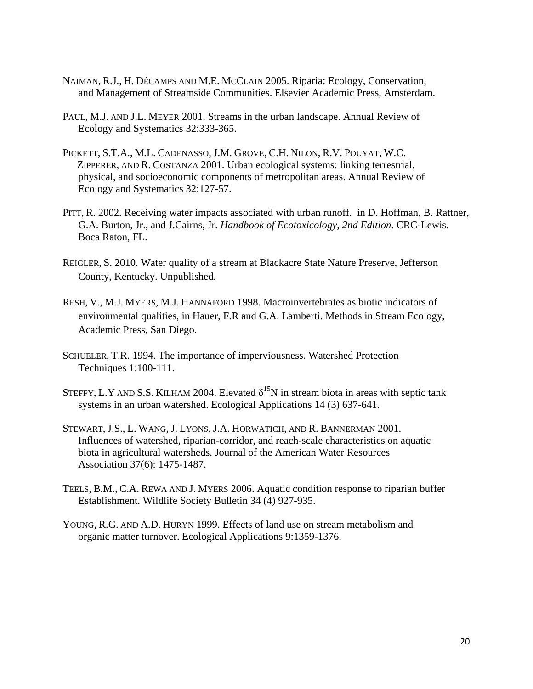- NAIMAN, R.J., H. DÉCAMPS AND M.E. MCCLAIN 2005. Riparia: Ecology, Conservation, and Management of Streamside Communities. Elsevier Academic Press, Amsterdam.
- PAUL, M.J. AND J.L. MEYER 2001. Streams in the urban landscape. Annual Review of Ecology and Systematics 32:333-365.
- PICKETT, S.T.A., M.L. CADENASSO, J.M. GROVE, C.H. NILON, R.V. POUYAT, W.C. ZIPPERER, AND R. COSTANZA 2001. Urban ecological systems: linking terrestrial, physical, and socioeconomic components of metropolitan areas. Annual Review of Ecology and Systematics 32:127-57.
- PITT, R. 2002. Receiving water impacts associated with urban runoff. in D. Hoffman, B. Rattner, G.A. Burton, Jr., and J.Cairns, Jr. *Handbook of Ecotoxicology, 2nd Edition*. CRC-Lewis. Boca Raton, FL.
- REIGLER, S. 2010. Water quality of a stream at Blackacre State Nature Preserve, Jefferson County, Kentucky. Unpublished.
- RESH, V., M.J. MYERS, M.J. HANNAFORD 1998. Macroinvertebrates as biotic indicators of environmental qualities, in Hauer, F.R and G.A. Lamberti. Methods in Stream Ecology, Academic Press, San Diego.
- SCHUELER, T.R. 1994. The importance of imperviousness. Watershed Protection Techniques 1:100-111.
- STEFFY, L.Y AND S.S. KILHAM 2004. Elevated  $\delta^{15}N$  in stream biota in areas with septic tank systems in an urban watershed. Ecological Applications 14 (3) 637-641.
- STEWART, J.S., L. WANG, J. LYONS, J.A. HORWATICH, AND R. BANNERMAN 2001. Influences of watershed, riparian-corridor, and reach-scale characteristics on aquatic biota in agricultural watersheds. Journal of the American Water Resources Association 37(6): 1475-1487.
- TEELS, B.M., C.A. REWA AND J. MYERS 2006. Aquatic condition response to riparian buffer Establishment. Wildlife Society Bulletin 34 (4) 927-935.
- YOUNG, R.G. AND A.D. HURYN 1999. Effects of land use on stream metabolism and organic matter turnover. Ecological Applications 9:1359-1376.